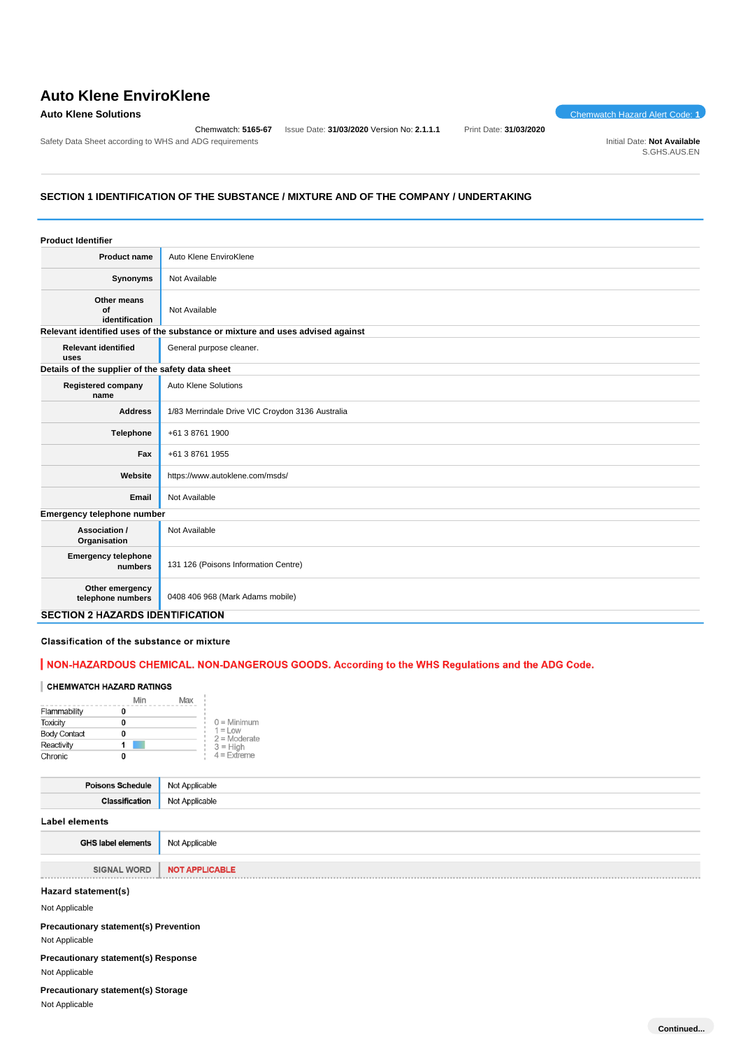# **Auto Klene EnviroKlene**

## **Auto Klene Solutions** Chemwatch Hazard Alert Code: **1**

Chemwatch: **5165-67** Issue Date: **31/03/2020** Version No: **2.1.1.1** Print Date: **31/03/2020**

Safety Data Sheet according to WHS and ADG requirements **Initial Date: Not Available** Initial Date: Not Available

S.GHS.AUS.EN

# **SECTION 1 IDENTIFICATION OF THE SUBSTANCE / MIXTURE AND OF THE COMPANY / UNDERTAKING**

| <b>Product Identifier</b>                        |                                                                               |
|--------------------------------------------------|-------------------------------------------------------------------------------|
| Product name                                     | Auto Klene EnviroKlene                                                        |
| Synonyms                                         | Not Available                                                                 |
| Other means<br>Οf<br>identification              | Not Available                                                                 |
|                                                  | Relevant identified uses of the substance or mixture and uses advised against |
| <b>Relevant identified</b><br>uses               | General purpose cleaner.                                                      |
| Details of the supplier of the safety data sheet |                                                                               |
| <b>Registered company</b><br>name                | Auto Klene Solutions                                                          |
| <b>Address</b>                                   | 1/83 Merrindale Drive VIC Croydon 3136 Australia                              |
| Telephone                                        | +61 3 8761 1900                                                               |
| Fax                                              | +61 3 8761 1955                                                               |
| Website                                          | https://www.autoklene.com/msds/                                               |
| Email                                            | Not Available                                                                 |
| Emergency telephone number                       |                                                                               |
| Association /<br>Organisation                    | Not Available                                                                 |
| <b>Emergency telephone</b><br>numbers            | 131 126 (Poisons Information Centre)                                          |
| Other emergency<br>telephone numbers             | 0408 406 968 (Mark Adams mobile)                                              |
| <b>SECTION 2 HAZARDS IDENTIFICATION</b>          |                                                                               |

# Classification of the substance or mixture

# | NON-HAZARDOUS CHEMICAL. NON-DANGEROUS GOODS. According to the WHS Regulations and the ADG Code.

### **CHEMWATCH HAZARD RATINGS**

|                     | Min | Max |                              |
|---------------------|-----|-----|------------------------------|
| Flammability        |     |     |                              |
| <b>Toxicity</b>     | 0   |     | $0 =$ Minimum                |
| <b>Body Contact</b> |     |     | $1 = L$ ow<br>$2 =$ Moderate |
| Reactivity          |     |     | $3 = H$ igh                  |
| Chronic             |     |     | $4$ = Extreme                |

| <b>Poisons Schedule</b> | Not Applicable |  |  |
|-------------------------|----------------|--|--|
| <b>Classification</b>   | Not Applicable |  |  |
| <b>Label elements</b>   |                |  |  |
| GHS label elements      | Not Annlicable |  |  |

| <b>PHOTODIC CIGHIGHTS</b> | <b>TVOLT-PPILOGIUIC</b> |
|---------------------------|-------------------------|
|                           |                         |
| SIGNAL WORD               | NOT APPLICABLE          |
|                           |                         |
| Hazard statement(s)       |                         |
| Not Applicable            |                         |

# **Precautionary statement(s) Prevention**

Not Applicable

**Precautionary statement(s) Response**

Not Applicable

**Precautionary statement(s) Storage** Not Applicable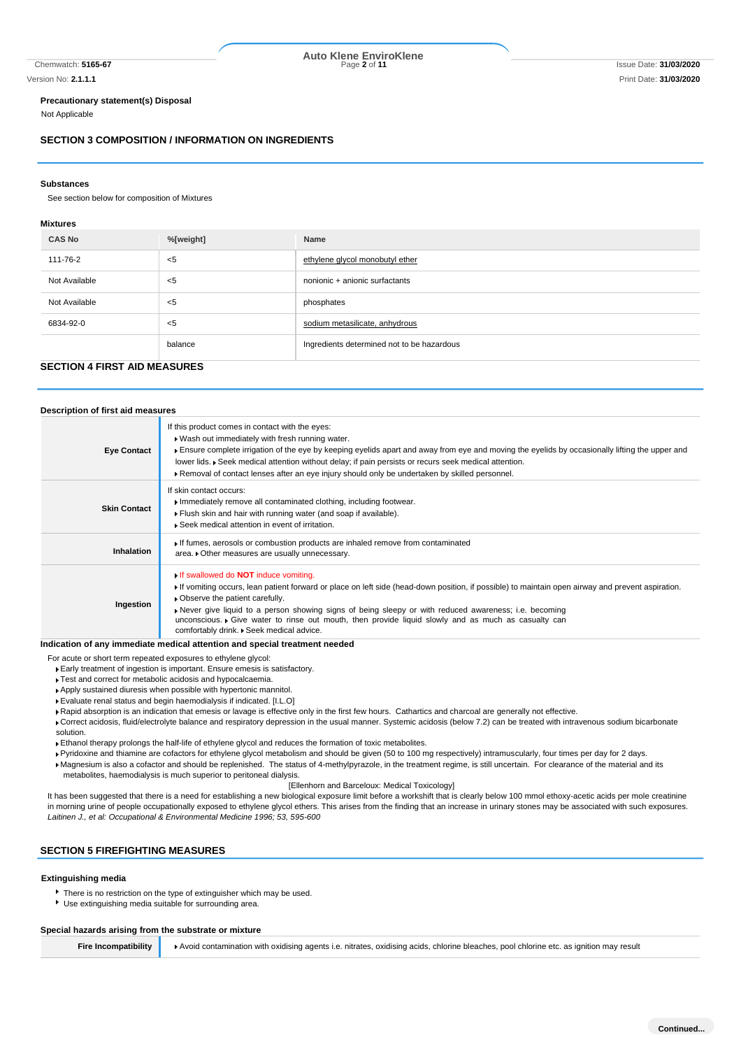# Chemwatch: **5165-67** Page **2** of **11** Issue Date: **31/03/2020 Auto Klene EnviroKlene**

#### **Precautionary statement(s) Disposal**

Not Applicable

#### **SECTION 3 COMPOSITION / INFORMATION ON INGREDIENTS**

#### **Substances**

See section below for composition of Mixtures

#### **Mixtures**

| <b>CAS No</b> | %[weight] | Name                                       |  |  |
|---------------|-----------|--------------------------------------------|--|--|
| 111-76-2      | <5        | ethylene glycol monobutyl ether            |  |  |
| Not Available | <5        | nonionic + anionic surfactants             |  |  |
| Not Available | $<$ 5     | phosphates                                 |  |  |
| 6834-92-0     | <5        | sodium metasilicate, anhydrous             |  |  |
|               | balance   | Ingredients determined not to be hazardous |  |  |

## **SECTION 4 FIRST AID MEASURES**

| Description of first aid measures |                                                                                                                                                                                                                                                                                                                                                                                                                                                                                                    |
|-----------------------------------|----------------------------------------------------------------------------------------------------------------------------------------------------------------------------------------------------------------------------------------------------------------------------------------------------------------------------------------------------------------------------------------------------------------------------------------------------------------------------------------------------|
| <b>Eye Contact</b>                | If this product comes in contact with the eyes:<br>▶ Wash out immediately with fresh running water.<br>Ensure complete irrigation of the eye by keeping eyelids apart and away from eye and moving the eyelids by occasionally lifting the upper and<br>lower lids. Geek medical attention without delay; if pain persists or recurs seek medical attention.<br>▶ Removal of contact lenses after an eye injury should only be undertaken by skilled personnel.                                    |
| <b>Skin Contact</b>               | If skin contact occurs:<br>Immediately remove all contaminated clothing, including footwear.<br>Flush skin and hair with running water (and soap if available).<br>▶ Seek medical attention in event of irritation.                                                                                                                                                                                                                                                                                |
| <b>Inhalation</b>                 | If fumes, aerosols or combustion products are inhaled remove from contaminated<br>area. • Other measures are usually unnecessary.                                                                                                                                                                                                                                                                                                                                                                  |
| Ingestion                         | If swallowed do <b>NOT</b> induce vomiting.<br>If vomiting occurs, lean patient forward or place on left side (head-down position, if possible) to maintain open airway and prevent aspiration.<br>• Observe the patient carefully.<br>► Never give liquid to a person showing signs of being sleepy or with reduced awareness; i.e. becoming<br>unconscious. • Give water to rinse out mouth, then provide liquid slowly and as much as casualty can<br>comfortably drink. . Seek medical advice. |

#### **Indication of any immediate medical attention and special treatment needed**

For acute or short term repeated exposures to ethylene glycol:

Early treatment of ingestion is important. Ensure emesis is satisfactory.

- **Test and correct for metabolic acidosis and hypocalcaemia.**
- Apply sustained diuresis when possible with hypertonic mannitol.
- Evaluate renal status and begin haemodialysis if indicated. [I.L.O]

Rapid absorption is an indication that emesis or lavage is effective only in the first few hours. Cathartics and charcoal are generally not effective.

Correct acidosis, fluid/electrolyte balance and respiratory depression in the usual manner. Systemic acidosis (below 7.2) can be treated with intravenous sodium bicarbonate solution.

Ethanol therapy prolongs the half-life of ethylene glycol and reduces the formation of toxic metabolites.

Pyridoxine and thiamine are cofactors for ethylene glycol metabolism and should be given (50 to 100 mg respectively) intramuscularly, four times per day for 2 days.

Magnesium is also a cofactor and should be replenished. The status of 4-methylpyrazole, in the treatment regime, is still uncertain. For clearance of the material and its metabolites, haemodialysis is much superior to peritoneal dialysis.

#### [Ellenhorn and Barceloux: Medical Toxicology]

It has been suggested that there is a need for establishing a new biological exposure limit before a workshift that is clearly below 100 mmol ethoxy-acetic acids per mole creatinine in morning urine of people occupationally exposed to ethylene glycol ethers. This arises from the finding that an increase in urinary stones may be associated with such exposures. *Laitinen J., et al: Occupational & Environmental Medicine 1996; 53, 595-600*

# **SECTION 5 FIREFIGHTING MEASURES**

#### **Extinguishing media**

- There is no restriction on the type of extinguisher which may be used.
- Use extinguishing media suitable for surrounding area.

#### **Special hazards arising from the substrate or mixture**

**Fire Incompatibility Avoid contamination with oxidising agents i.e. nitrates, oxidising acids, chlorine bleaches, pool chlorine etc. as ignition may result**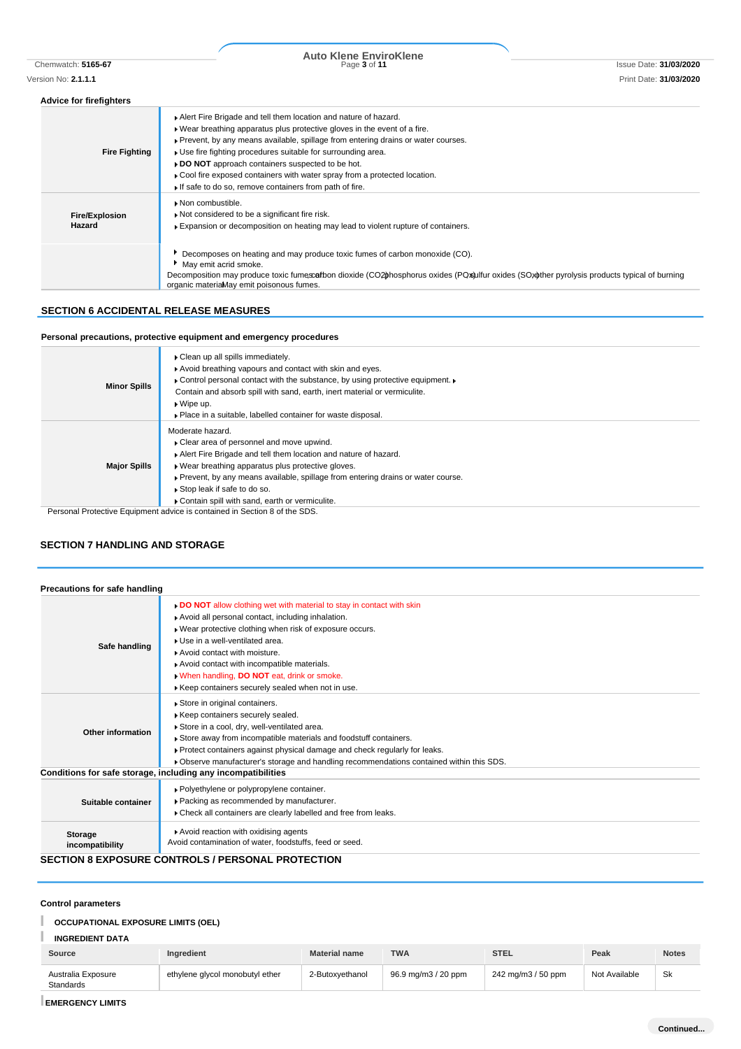# Chemwatch: **5165-67** Page **3** of **11** Issue Date: **31/03/2020 Auto Klene EnviroKlene**

#### **Advice for firefighters**

| <b>Fire Fighting</b>            | Alert Fire Brigade and tell them location and nature of hazard.<br>. Wear breathing apparatus plus protective gloves in the event of a fire.<br>▶ Prevent, by any means available, spillage from entering drains or water courses.<br>▶ Use fire fighting procedures suitable for surrounding area.<br>▶ DO NOT approach containers suspected to be hot.<br>► Cool fire exposed containers with water spray from a protected location.<br>If safe to do so, remove containers from path of fire. |
|---------------------------------|--------------------------------------------------------------------------------------------------------------------------------------------------------------------------------------------------------------------------------------------------------------------------------------------------------------------------------------------------------------------------------------------------------------------------------------------------------------------------------------------------|
| <b>Fire/Explosion</b><br>Hazard | Non combustible.<br>Not considered to be a significant fire risk.<br>Expansion or decomposition on heating may lead to violent rupture of containers.                                                                                                                                                                                                                                                                                                                                            |
|                                 | Decomposes on heating and may produce toxic fumes of carbon monoxide (CO).<br>May emit acrid smoke.<br>Decomposition may produce toxic fumescafbon dioxide (CO2bhosphorus oxides (POxbulfur oxides (SOxother pyrolysis products typical of burning<br>organic materiaMay emit poisonous fumes.                                                                                                                                                                                                   |

## **SECTION 6 ACCIDENTAL RELEASE MEASURES**

# **Personal precautions, protective equipment and emergency procedures**

|                     | • Clean up all spills immediately.                                                |
|---------------------|-----------------------------------------------------------------------------------|
|                     | Avoid breathing vapours and contact with skin and eyes.                           |
|                     | Control personal contact with the substance, by using protective equipment.       |
| <b>Minor Spills</b> | Contain and absorb spill with sand, earth, inert material or vermiculite.         |
|                     | $\triangleright$ Wipe up.                                                         |
|                     | • Place in a suitable, labelled container for waste disposal.                     |
|                     | Moderate hazard.                                                                  |
|                     | • Clear area of personnel and move upwind.                                        |
|                     | Alert Fire Brigade and tell them location and nature of hazard.                   |
| <b>Major Spills</b> | • Wear breathing apparatus plus protective gloves.                                |
|                     | ▶ Prevent, by any means available, spillage from entering drains or water course. |
|                     | Stop leak if safe to do so.                                                       |
|                     | Contain spill with sand, earth or vermiculite.                                    |
|                     |                                                                                   |

Personal Protective Equipment advice is contained in Section 8 of the SDS.

## **SECTION 7 HANDLING AND STORAGE**

| Precautions for safe handling |                                                                                                                                                                                                                                                                                                                                                                                                           |
|-------------------------------|-----------------------------------------------------------------------------------------------------------------------------------------------------------------------------------------------------------------------------------------------------------------------------------------------------------------------------------------------------------------------------------------------------------|
| Safe handling                 | DO NOT allow clothing wet with material to stay in contact with skin<br>Avoid all personal contact, including inhalation.<br>. Wear protective clothing when risk of exposure occurs.<br>Use in a well-ventilated area.<br>Avoid contact with moisture.<br>Avoid contact with incompatible materials.<br>. When handling, DO NOT eat, drink or smoke.<br>Keep containers securely sealed when not in use. |
| Other information             | Store in original containers.<br>Keep containers securely sealed.<br>Store in a cool, dry, well-ventilated area.<br>Store away from incompatible materials and foodstuff containers.<br>Protect containers against physical damage and check regularly for leaks.<br>• Observe manufacturer's storage and handling recommendations contained within this SDS.                                             |
|                               | Conditions for safe storage, including any incompatibilities                                                                                                                                                                                                                                                                                                                                              |
| Suitable container            | · Polyethylene or polypropylene container.<br>▶ Packing as recommended by manufacturer.<br>Check all containers are clearly labelled and free from leaks.                                                                                                                                                                                                                                                 |
| Storage<br>incompatibility    | Avoid reaction with oxidising agents<br>Avoid contamination of water, foodstuffs, feed or seed.<br><b>CECTION 9 EVBOCUBE CONTROL C / BERCONAL BROTECTION</b>                                                                                                                                                                                                                                              |

#### **SECTION 8 EXPOSURE CONTROLS / PERSONAL PROTECTION**

## **Control parameters**

#### I **OCCUPATIONAL EXPOSURE LIMITS (OEL)**

| <b>INGREDIENT DATA</b> |  |
|------------------------|--|
|                        |  |

| Source                          | Ingredient                      | <b>Material name</b> | <b>TWA</b>          | <b>STEL</b>        | Peak          | <b>Notes</b> |
|---------------------------------|---------------------------------|----------------------|---------------------|--------------------|---------------|--------------|
| Australia Exposure<br>Standards | ethylene glycol monobutyl ether | 2-Butoxvethanol      | 96.9 mg/m3 / 20 ppm | 242 mg/m3 / 50 ppm | Not Available | Sk           |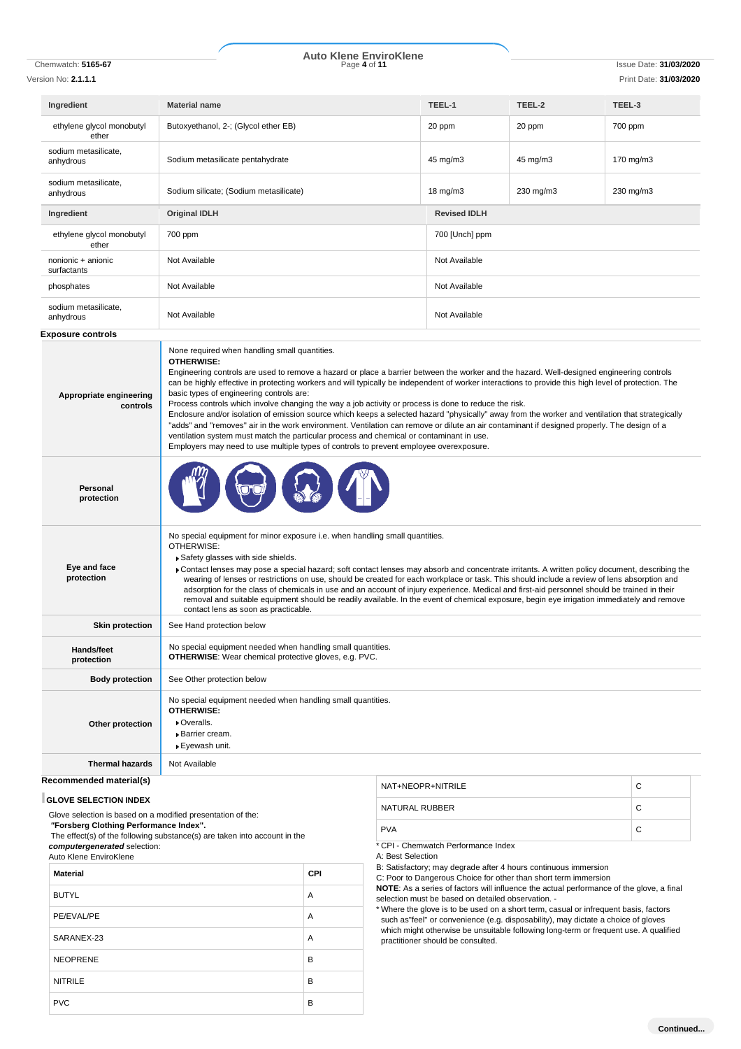# **Auto Klene EnviroKlene**

| Chemwatch: 5165-67                                          | Page 4 of 11                                                                                                                                                                                                                                                                                                                                                                                                                                                                                                                                                                                                                                                                                                                                                                                                                                                                                                                                                         |                   |                                     |           | <b>Issue Date: 31/03/2020</b> |
|-------------------------------------------------------------|----------------------------------------------------------------------------------------------------------------------------------------------------------------------------------------------------------------------------------------------------------------------------------------------------------------------------------------------------------------------------------------------------------------------------------------------------------------------------------------------------------------------------------------------------------------------------------------------------------------------------------------------------------------------------------------------------------------------------------------------------------------------------------------------------------------------------------------------------------------------------------------------------------------------------------------------------------------------|-------------------|-------------------------------------|-----------|-------------------------------|
| Version No: <b>2.1.1.1</b>                                  |                                                                                                                                                                                                                                                                                                                                                                                                                                                                                                                                                                                                                                                                                                                                                                                                                                                                                                                                                                      |                   |                                     |           | Print Date: 31/03/2020        |
| Ingredient                                                  | <b>Material name</b>                                                                                                                                                                                                                                                                                                                                                                                                                                                                                                                                                                                                                                                                                                                                                                                                                                                                                                                                                 |                   | TEEL-1                              | TEEL-2    | TEEL-3                        |
| ethylene glycol monobutyl<br>ether                          | Butoxyethanol, 2-; (Glycol ether EB)                                                                                                                                                                                                                                                                                                                                                                                                                                                                                                                                                                                                                                                                                                                                                                                                                                                                                                                                 |                   | 20 ppm                              | 20 ppm    | 700 ppm                       |
| sodium metasilicate,<br>anhydrous                           | Sodium metasilicate pentahydrate                                                                                                                                                                                                                                                                                                                                                                                                                                                                                                                                                                                                                                                                                                                                                                                                                                                                                                                                     |                   | 45 mg/m3                            | 45 mg/m3  | 170 mg/m3                     |
| sodium metasilicate.<br>anhydrous                           | Sodium silicate; (Sodium metasilicate)                                                                                                                                                                                                                                                                                                                                                                                                                                                                                                                                                                                                                                                                                                                                                                                                                                                                                                                               |                   | 18 mg/m3                            | 230 mg/m3 | 230 mg/m3                     |
| Ingredient                                                  | <b>Original IDLH</b>                                                                                                                                                                                                                                                                                                                                                                                                                                                                                                                                                                                                                                                                                                                                                                                                                                                                                                                                                 |                   | <b>Revised IDLH</b>                 |           |                               |
| ethylene glycol monobutyl<br>ether                          | 700 ppm                                                                                                                                                                                                                                                                                                                                                                                                                                                                                                                                                                                                                                                                                                                                                                                                                                                                                                                                                              |                   | 700 [Unch] ppm                      |           |                               |
| nonionic + anionic<br>surfactants                           | Not Available                                                                                                                                                                                                                                                                                                                                                                                                                                                                                                                                                                                                                                                                                                                                                                                                                                                                                                                                                        |                   | Not Available                       |           |                               |
| phosphates                                                  | Not Available                                                                                                                                                                                                                                                                                                                                                                                                                                                                                                                                                                                                                                                                                                                                                                                                                                                                                                                                                        |                   | Not Available                       |           |                               |
| sodium metasilicate,<br>anhydrous                           | Not Available                                                                                                                                                                                                                                                                                                                                                                                                                                                                                                                                                                                                                                                                                                                                                                                                                                                                                                                                                        |                   | Not Available                       |           |                               |
| <b>Exposure controls</b>                                    |                                                                                                                                                                                                                                                                                                                                                                                                                                                                                                                                                                                                                                                                                                                                                                                                                                                                                                                                                                      |                   |                                     |           |                               |
| Appropriate engineering<br>controls                         | <b>OTHERWISE:</b><br>Engineering controls are used to remove a hazard or place a barrier between the worker and the hazard. Well-designed engineering controls<br>can be highly effective in protecting workers and will typically be independent of worker interactions to provide this high level of protection. The<br>basic types of engineering controls are:<br>Process controls which involve changing the way a job activity or process is done to reduce the risk.<br>Enclosure and/or isolation of emission source which keeps a selected hazard "physically" away from the worker and ventilation that strategically<br>"adds" and "removes" air in the work environment. Ventilation can remove or dilute an air contaminant if designed properly. The design of a<br>ventilation system must match the particular process and chemical or contaminant in use.<br>Employers may need to use multiple types of controls to prevent employee overexposure. |                   |                                     |           |                               |
| Personal<br>protection                                      |                                                                                                                                                                                                                                                                                                                                                                                                                                                                                                                                                                                                                                                                                                                                                                                                                                                                                                                                                                      |                   |                                     |           |                               |
| Eye and face<br>protection                                  | No special equipment for minor exposure i.e. when handling small quantities.<br>OTHERWISE:<br>Safety glasses with side shields.<br>▶ Contact lenses may pose a special hazard; soft contact lenses may absorb and concentrate irritants. A written policy document, describing the<br>wearing of lenses or restrictions on use, should be created for each workplace or task. This should include a review of lens absorption and<br>adsorption for the class of chemicals in use and an account of injury experience. Medical and first-aid personnel should be trained in their<br>removal and suitable equipment should be readily available. In the event of chemical exposure, begin eye irrigation immediately and remove<br>contact lens as soon as practicable.                                                                                                                                                                                              |                   |                                     |           |                               |
| <b>Skin protection</b>                                      | See Hand protection below                                                                                                                                                                                                                                                                                                                                                                                                                                                                                                                                                                                                                                                                                                                                                                                                                                                                                                                                            |                   |                                     |           |                               |
| Hands/feet<br>protection                                    | No special equipment needed when handling small quantities.<br><b>OTHERWISE:</b> Wear chemical protective gloves, e.g. PVC.                                                                                                                                                                                                                                                                                                                                                                                                                                                                                                                                                                                                                                                                                                                                                                                                                                          |                   |                                     |           |                               |
| <b>Body protection</b>                                      | See Other protection below                                                                                                                                                                                                                                                                                                                                                                                                                                                                                                                                                                                                                                                                                                                                                                                                                                                                                                                                           |                   |                                     |           |                               |
| Other protection                                            | No special equipment needed when handling small quantities.<br><b>OTHERWISE:</b><br>Overalls.<br><b>Barrier cream.</b><br>▶ Eyewash unit.                                                                                                                                                                                                                                                                                                                                                                                                                                                                                                                                                                                                                                                                                                                                                                                                                            |                   |                                     |           |                               |
| <b>Thermal hazards</b>                                      | Not Available                                                                                                                                                                                                                                                                                                                                                                                                                                                                                                                                                                                                                                                                                                                                                                                                                                                                                                                                                        |                   |                                     |           |                               |
| Recommended material(s)                                     |                                                                                                                                                                                                                                                                                                                                                                                                                                                                                                                                                                                                                                                                                                                                                                                                                                                                                                                                                                      | NAT+NEOPR+NITRILE |                                     |           | С                             |
| <b>GLOVE SELECTION INDEX</b>                                |                                                                                                                                                                                                                                                                                                                                                                                                                                                                                                                                                                                                                                                                                                                                                                                                                                                                                                                                                                      |                   |                                     |           |                               |
| Glove selection is based on a modified presentation of the: |                                                                                                                                                                                                                                                                                                                                                                                                                                                                                                                                                                                                                                                                                                                                                                                                                                                                                                                                                                      | NATURAL RUBBER    |                                     |           | C                             |
| "Forsberg Clothing Performance Index".                      | The effect(s) of the following substance(s) are taken into account in the                                                                                                                                                                                                                                                                                                                                                                                                                                                                                                                                                                                                                                                                                                                                                                                                                                                                                            | <b>PVA</b>        |                                     |           | C                             |
| computergenerated selection:                                |                                                                                                                                                                                                                                                                                                                                                                                                                                                                                                                                                                                                                                                                                                                                                                                                                                                                                                                                                                      |                   | * CPI - Chemwatch Performance Index |           |                               |

A: Best Selection

B: Satisfactory; may degrade after 4 hours continuous immersion

C: Poor to Dangerous Choice for other than short term immersion

**NOTE**: As a series of factors will influence the actual performance of the glove, a final selection must be based on detailed observation. -

\* Where the glove is to be used on a short term, casual or infrequent basis, factors such as"feel" or convenience (e.g. disposability), may dictate a choice of gloves which might otherwise be unsuitable following long-term or frequent use. A qualified practitioner should be consulted.

*computergenerated* selection: Auto Klene EnviroKlene **Material CPI** BUTYL A PE/EVAL/PE A SARANEX-23 A NEOPRENE B NITRILE B PVC B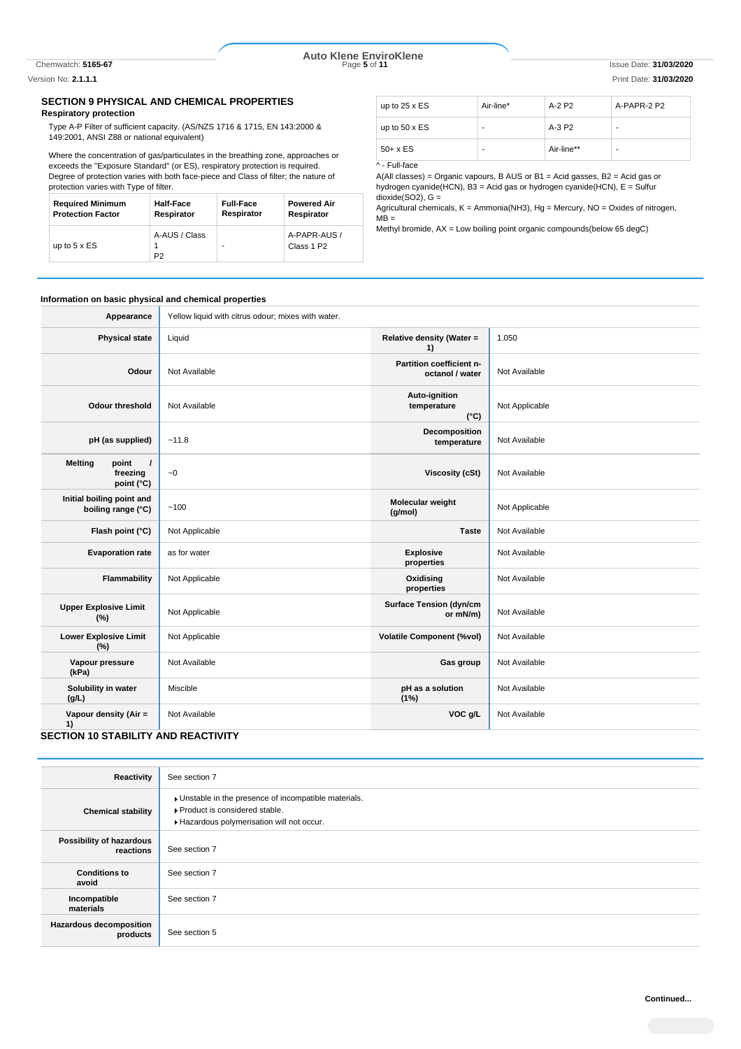Chemwatch: **5165-67** Page **5** of **11** Issue Date: **31/03/2020 Auto Klene EnviroKlene**

Version No: **2.1.1.1** Print Date: **31/03/2020**

# **SECTION 9 PHYSICAL AND CHEMICAL PROPERTIES**

### **Respiratory protection**

Type A-P Filter of sufficient capacity. (AS/NZS 1716 & 1715, EN 143:2000 & 149:2001, ANSI Z88 or national equivalent)

Where the concentration of gas/particulates in the breathing zone, approaches or exceeds the "Exposure Standard" (or ES), respiratory protection is required. Degree of protection varies with both face-piece and Class of filter; the nature of protection varies with Type of filter.

| <b>Required Minimum</b>  | Half-Face                       | <b>Full-Face</b> | <b>Powered Air</b>                     |
|--------------------------|---------------------------------|------------------|----------------------------------------|
| <b>Protection Factor</b> | Respirator                      | Respirator       | Respirator                             |
| up to $5 \times ES$      | A-AUS / Class<br>P <sub>2</sub> |                  | A-PAPR-AUS /<br>Class 1 P <sub>2</sub> |

| up to $25 \times ES$ | Air-line* | $A-2P2$    | A-PAPR-2 P2 |
|----------------------|-----------|------------|-------------|
| up to $50 \times ES$ |           | $A-3P2$    |             |
| $50+ x ES$           | ٠         | Air-line** |             |

^ - Full-face

A(All classes) = Organic vapours, B AUS or B1 = Acid gasses, B2 = Acid gas or hydrogen cyanide(HCN), B3 = Acid gas or hydrogen cyanide(HCN), E = Sulfur  $divide(SO2)$ ,  $G =$ 

Agricultural chemicals,  $K =$  Ammonia(NH3),  $Hg =$  Mercury,  $NO =$  Oxides of nitrogen,  $MB =$ 

Methyl bromide, AX = Low boiling point organic compounds(below 65 degC)

#### **Information on basic physical and chemical properties**

| Appearance                                                    | Yellow liquid with citrus odour; mixes with water. |                                               |                |
|---------------------------------------------------------------|----------------------------------------------------|-----------------------------------------------|----------------|
| <b>Physical state</b>                                         | Liquid                                             | Relative density (Water =<br>1)               | 1.050          |
| Odour                                                         | Not Available                                      | Partition coefficient n-<br>octanol / water   | Not Available  |
| <b>Odour threshold</b>                                        | Not Available                                      | Auto-ignition<br>temperature<br>$(^{\circ}C)$ | Not Applicable |
| pH (as supplied)                                              | ~11.8                                              | Decomposition<br>temperature                  | Not Available  |
| <b>Melting</b><br>point<br>$\prime$<br>freezing<br>point (°C) | $\sim\!0$                                          | <b>Viscosity (cSt)</b>                        | Not Available  |
| Initial boiling point and<br>boiling range (°C)               | ~100                                               | Molecular weight<br>(g/mol)                   | Not Applicable |
| Flash point (°C)                                              | Not Applicable                                     | <b>Taste</b>                                  | Not Available  |
| <b>Evaporation rate</b>                                       | as for water                                       | <b>Explosive</b><br>properties                | Not Available  |
| Flammability                                                  | Not Applicable                                     | Oxidising<br>properties                       | Not Available  |
| <b>Upper Explosive Limit</b><br>(%)                           | Not Applicable                                     | <b>Surface Tension (dyn/cm</b><br>or mN/m)    | Not Available  |
| <b>Lower Explosive Limit</b><br>(%)                           | Not Applicable                                     | <b>Volatile Component (%vol)</b>              | Not Available  |
| Vapour pressure<br>(kPa)                                      | Not Available                                      | Gas group                                     | Not Available  |
| Solubility in water<br>(g/L)                                  | Miscible                                           | pH as a solution<br>(1%)                      | Not Available  |
| Vapour density (Air =<br>1)                                   | Not Available                                      | VOC g/L                                       | Not Available  |

# **SECTION 10 STABILITY AND REACTIVITY**

| Reactivity                                 | See section 7                                                                                                                      |
|--------------------------------------------|------------------------------------------------------------------------------------------------------------------------------------|
| <b>Chemical stability</b>                  | Unstable in the presence of incompatible materials.<br>▶ Product is considered stable.<br>Hazardous polymerisation will not occur. |
| Possibility of hazardous<br>reactions      | See section 7                                                                                                                      |
| <b>Conditions to</b><br>avoid              | See section 7                                                                                                                      |
| Incompatible<br>materials                  | See section 7                                                                                                                      |
| <b>Hazardous decomposition</b><br>products | See section 5                                                                                                                      |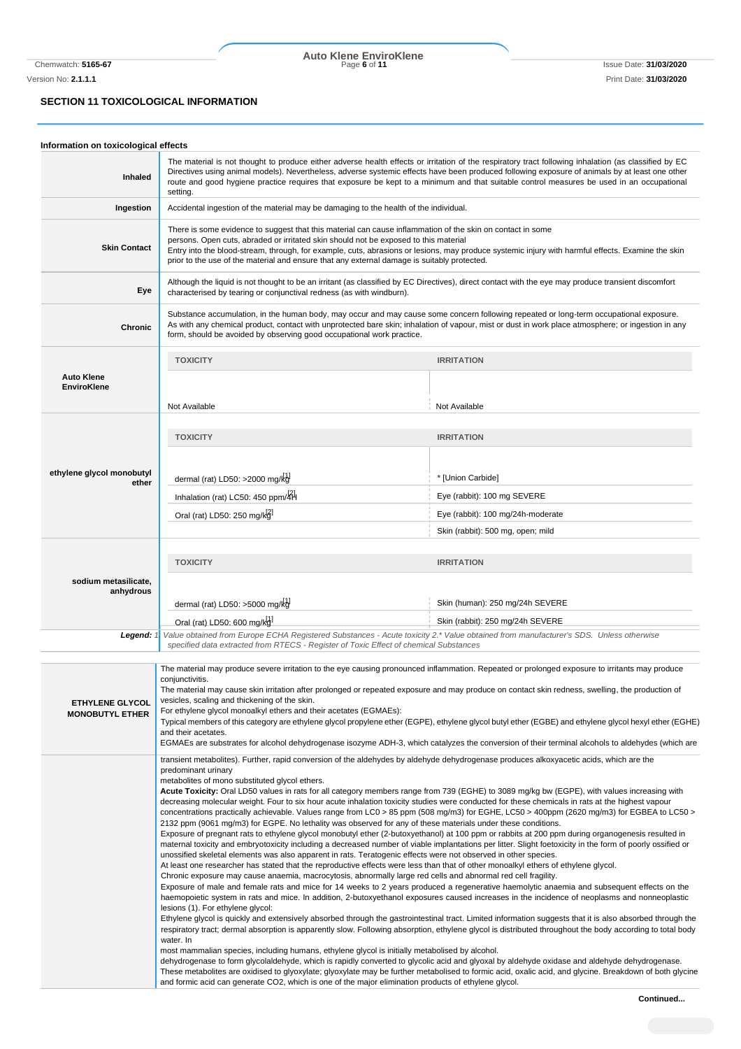# **SECTION 11 TOXICOLOGICAL INFORMATION**

| Information on toxicological effects             |                                                                                                                                                                                                                                                                                                                                                                                                                                                                                                                                                                                                                                                                                                                                                                                                                                                                                                                                                                                                                                                                                                                                                                                                                                                                                                                                                                                                                                      |                                                                                                                                                                                                                                                                                                                                                                                                                                                                                                                                                                                                                                                                                                                                                                                                                                                                                                                                                                                                                                                                                              |  |
|--------------------------------------------------|--------------------------------------------------------------------------------------------------------------------------------------------------------------------------------------------------------------------------------------------------------------------------------------------------------------------------------------------------------------------------------------------------------------------------------------------------------------------------------------------------------------------------------------------------------------------------------------------------------------------------------------------------------------------------------------------------------------------------------------------------------------------------------------------------------------------------------------------------------------------------------------------------------------------------------------------------------------------------------------------------------------------------------------------------------------------------------------------------------------------------------------------------------------------------------------------------------------------------------------------------------------------------------------------------------------------------------------------------------------------------------------------------------------------------------------|----------------------------------------------------------------------------------------------------------------------------------------------------------------------------------------------------------------------------------------------------------------------------------------------------------------------------------------------------------------------------------------------------------------------------------------------------------------------------------------------------------------------------------------------------------------------------------------------------------------------------------------------------------------------------------------------------------------------------------------------------------------------------------------------------------------------------------------------------------------------------------------------------------------------------------------------------------------------------------------------------------------------------------------------------------------------------------------------|--|
| Inhaled                                          | The material is not thought to produce either adverse health effects or irritation of the respiratory tract following inhalation (as classified by EC<br>Directives using animal models). Nevertheless, adverse systemic effects have been produced following exposure of animals by at least one other<br>route and good hygiene practice requires that exposure be kept to a minimum and that suitable control measures be used in an occupational<br>setting.                                                                                                                                                                                                                                                                                                                                                                                                                                                                                                                                                                                                                                                                                                                                                                                                                                                                                                                                                                     |                                                                                                                                                                                                                                                                                                                                                                                                                                                                                                                                                                                                                                                                                                                                                                                                                                                                                                                                                                                                                                                                                              |  |
| Ingestion                                        | Accidental ingestion of the material may be damaging to the health of the individual.                                                                                                                                                                                                                                                                                                                                                                                                                                                                                                                                                                                                                                                                                                                                                                                                                                                                                                                                                                                                                                                                                                                                                                                                                                                                                                                                                |                                                                                                                                                                                                                                                                                                                                                                                                                                                                                                                                                                                                                                                                                                                                                                                                                                                                                                                                                                                                                                                                                              |  |
| <b>Skin Contact</b>                              | There is some evidence to suggest that this material can cause inflammation of the skin on contact in some<br>persons. Open cuts, abraded or irritated skin should not be exposed to this material<br>Entry into the blood-stream, through, for example, cuts, abrasions or lesions, may produce systemic injury with harmful effects. Examine the skin<br>prior to the use of the material and ensure that any external damage is suitably protected.                                                                                                                                                                                                                                                                                                                                                                                                                                                                                                                                                                                                                                                                                                                                                                                                                                                                                                                                                                               |                                                                                                                                                                                                                                                                                                                                                                                                                                                                                                                                                                                                                                                                                                                                                                                                                                                                                                                                                                                                                                                                                              |  |
| Eye                                              | Although the liquid is not thought to be an irritant (as classified by EC Directives), direct contact with the eye may produce transient discomfort<br>characterised by tearing or conjunctival redness (as with windburn).                                                                                                                                                                                                                                                                                                                                                                                                                                                                                                                                                                                                                                                                                                                                                                                                                                                                                                                                                                                                                                                                                                                                                                                                          |                                                                                                                                                                                                                                                                                                                                                                                                                                                                                                                                                                                                                                                                                                                                                                                                                                                                                                                                                                                                                                                                                              |  |
| <b>Chronic</b>                                   | Substance accumulation, in the human body, may occur and may cause some concern following repeated or long-term occupational exposure.<br>As with any chemical product, contact with unprotected bare skin; inhalation of vapour, mist or dust in work place atmosphere; or ingestion in any<br>form, should be avoided by observing good occupational work practice.                                                                                                                                                                                                                                                                                                                                                                                                                                                                                                                                                                                                                                                                                                                                                                                                                                                                                                                                                                                                                                                                |                                                                                                                                                                                                                                                                                                                                                                                                                                                                                                                                                                                                                                                                                                                                                                                                                                                                                                                                                                                                                                                                                              |  |
|                                                  | <b>TOXICITY</b>                                                                                                                                                                                                                                                                                                                                                                                                                                                                                                                                                                                                                                                                                                                                                                                                                                                                                                                                                                                                                                                                                                                                                                                                                                                                                                                                                                                                                      | <b>IRRITATION</b>                                                                                                                                                                                                                                                                                                                                                                                                                                                                                                                                                                                                                                                                                                                                                                                                                                                                                                                                                                                                                                                                            |  |
| <b>Auto Klene</b><br><b>EnviroKlene</b>          |                                                                                                                                                                                                                                                                                                                                                                                                                                                                                                                                                                                                                                                                                                                                                                                                                                                                                                                                                                                                                                                                                                                                                                                                                                                                                                                                                                                                                                      |                                                                                                                                                                                                                                                                                                                                                                                                                                                                                                                                                                                                                                                                                                                                                                                                                                                                                                                                                                                                                                                                                              |  |
|                                                  | Not Available                                                                                                                                                                                                                                                                                                                                                                                                                                                                                                                                                                                                                                                                                                                                                                                                                                                                                                                                                                                                                                                                                                                                                                                                                                                                                                                                                                                                                        | Not Available                                                                                                                                                                                                                                                                                                                                                                                                                                                                                                                                                                                                                                                                                                                                                                                                                                                                                                                                                                                                                                                                                |  |
|                                                  | <b>TOXICITY</b>                                                                                                                                                                                                                                                                                                                                                                                                                                                                                                                                                                                                                                                                                                                                                                                                                                                                                                                                                                                                                                                                                                                                                                                                                                                                                                                                                                                                                      | <b>IRRITATION</b>                                                                                                                                                                                                                                                                                                                                                                                                                                                                                                                                                                                                                                                                                                                                                                                                                                                                                                                                                                                                                                                                            |  |
| ethylene glycol monobutyl<br>ether               | dermal (rat) $LD50: >2000$ mg/kg                                                                                                                                                                                                                                                                                                                                                                                                                                                                                                                                                                                                                                                                                                                                                                                                                                                                                                                                                                                                                                                                                                                                                                                                                                                                                                                                                                                                     | * [Union Carbide]                                                                                                                                                                                                                                                                                                                                                                                                                                                                                                                                                                                                                                                                                                                                                                                                                                                                                                                                                                                                                                                                            |  |
|                                                  | Inhalation (rat) LC50: 450 ppm/4H                                                                                                                                                                                                                                                                                                                                                                                                                                                                                                                                                                                                                                                                                                                                                                                                                                                                                                                                                                                                                                                                                                                                                                                                                                                                                                                                                                                                    | Eye (rabbit): 100 mg SEVERE                                                                                                                                                                                                                                                                                                                                                                                                                                                                                                                                                                                                                                                                                                                                                                                                                                                                                                                                                                                                                                                                  |  |
|                                                  | Eye (rabbit): 100 mg/24h-moderate<br>Oral (rat) LD50: 250 mg/kg                                                                                                                                                                                                                                                                                                                                                                                                                                                                                                                                                                                                                                                                                                                                                                                                                                                                                                                                                                                                                                                                                                                                                                                                                                                                                                                                                                      |                                                                                                                                                                                                                                                                                                                                                                                                                                                                                                                                                                                                                                                                                                                                                                                                                                                                                                                                                                                                                                                                                              |  |
|                                                  |                                                                                                                                                                                                                                                                                                                                                                                                                                                                                                                                                                                                                                                                                                                                                                                                                                                                                                                                                                                                                                                                                                                                                                                                                                                                                                                                                                                                                                      | Skin (rabbit): 500 mg, open; mild                                                                                                                                                                                                                                                                                                                                                                                                                                                                                                                                                                                                                                                                                                                                                                                                                                                                                                                                                                                                                                                            |  |
| sodium metasilicate,<br>anhydrous                | <b>TOXICITY</b><br>dermal (rat) LD50: $>5000$ mg/kg                                                                                                                                                                                                                                                                                                                                                                                                                                                                                                                                                                                                                                                                                                                                                                                                                                                                                                                                                                                                                                                                                                                                                                                                                                                                                                                                                                                  | <b>IRRITATION</b><br>Skin (human): 250 mg/24h SEVERE                                                                                                                                                                                                                                                                                                                                                                                                                                                                                                                                                                                                                                                                                                                                                                                                                                                                                                                                                                                                                                         |  |
|                                                  | Oral (rat) LD50: 600 mg/kg                                                                                                                                                                                                                                                                                                                                                                                                                                                                                                                                                                                                                                                                                                                                                                                                                                                                                                                                                                                                                                                                                                                                                                                                                                                                                                                                                                                                           | Skin (rabbit): 250 mg/24h SEVERE                                                                                                                                                                                                                                                                                                                                                                                                                                                                                                                                                                                                                                                                                                                                                                                                                                                                                                                                                                                                                                                             |  |
| Legend: 1.                                       | Value obtained from Europe ECHA Registered Substances - Acute toxicity 2.* Value obtained from manufacturer's SDS. Unless otherwise<br>specified data extracted from RTECS - Register of Toxic Effect of chemical Substances                                                                                                                                                                                                                                                                                                                                                                                                                                                                                                                                                                                                                                                                                                                                                                                                                                                                                                                                                                                                                                                                                                                                                                                                         |                                                                                                                                                                                                                                                                                                                                                                                                                                                                                                                                                                                                                                                                                                                                                                                                                                                                                                                                                                                                                                                                                              |  |
| <b>ETHYLENE GLYCOL</b><br><b>MONOBUTYL ETHER</b> | The material may produce severe irritation to the eye causing pronounced inflammation. Repeated or prolonged exposure to irritants may produce<br>conjunctivitis.<br>The material may cause skin irritation after prolonged or repeated exposure and may produce on contact skin redness, swelling, the production of<br>vesicles, scaling and thickening of the skin.<br>For ethylene glycol monoalkyl ethers and their acetates (EGMAEs):<br>and their acetates.<br>transient metabolites). Further, rapid conversion of the aldehydes by aldehyde dehydrogenase produces alkoxyacetic acids, which are the                                                                                                                                                                                                                                                                                                                                                                                                                                                                                                                                                                                                                                                                                                                                                                                                                        | Typical members of this category are ethylene glycol propylene ether (EGPE), ethylene glycol butyl ether (EGBE) and ethylene glycol hexyl ether (EGHE)<br>EGMAEs are substrates for alcohol dehydrogenase isozyme ADH-3, which catalyzes the conversion of their terminal alcohols to aldehydes (which are                                                                                                                                                                                                                                                                                                                                                                                                                                                                                                                                                                                                                                                                                                                                                                                   |  |
|                                                  | predominant urinary<br>metabolites of mono substituted glycol ethers.<br>Acute Toxicity: Oral LD50 values in rats for all category members range from 739 (EGHE) to 3089 mg/kg bw (EGPE), with values increasing with<br>decreasing molecular weight. Four to six hour acute inhalation toxicity studies were conducted for these chemicals in rats at the highest vapour<br>2132 ppm (9061 mg/m3) for EGPE. No lethality was observed for any of these materials under these conditions.<br>Exposure of pregnant rats to ethylene glycol monobutyl ether (2-butoxyethanol) at 100 ppm or rabbits at 200 ppm during organogenesis resulted in<br>unossified skeletal elements was also apparent in rats. Teratogenic effects were not observed in other species.<br>At least one researcher has stated that the reproductive effects were less than that of other monoalkyl ethers of ethylene glycol.<br>Chronic exposure may cause anaemia, macrocytosis, abnormally large red cells and abnormal red cell fragility.<br>lesions (1). For ethylene glycol:<br>water. In<br>most mammalian species, including humans, ethylene glycol is initially metabolised by alcohol.<br>dehydrogenase to form glycolaldehyde, which is rapidly converted to glycolic acid and glyoxal by aldehyde oxidase and aldehyde dehydrogenase.<br>and formic acid can generate CO2, which is one of the major elimination products of ethylene glycol. | concentrations practically achievable. Values range from LC0 > 85 ppm (508 mg/m3) for EGHE, LC50 > 400ppm (2620 mg/m3) for EGBEA to LC50 ><br>maternal toxicity and embryotoxicity including a decreased number of viable implantations per litter. Slight foetoxicity in the form of poorly ossified or<br>Exposure of male and female rats and mice for 14 weeks to 2 years produced a regenerative haemolytic anaemia and subsequent effects on the<br>haemopoietic system in rats and mice. In addition, 2-butoxyethanol exposures caused increases in the incidence of neoplasms and nonneoplastic<br>Ethylene glycol is quickly and extensively absorbed through the gastrointestinal tract. Limited information suggests that it is also absorbed through the<br>respiratory tract; dermal absorption is apparently slow. Following absorption, ethylene glycol is distributed throughout the body according to total body<br>These metabolites are oxidised to glyoxylate; glyoxylate may be further metabolised to formic acid, oxalic acid, and glycine. Breakdown of both glycine |  |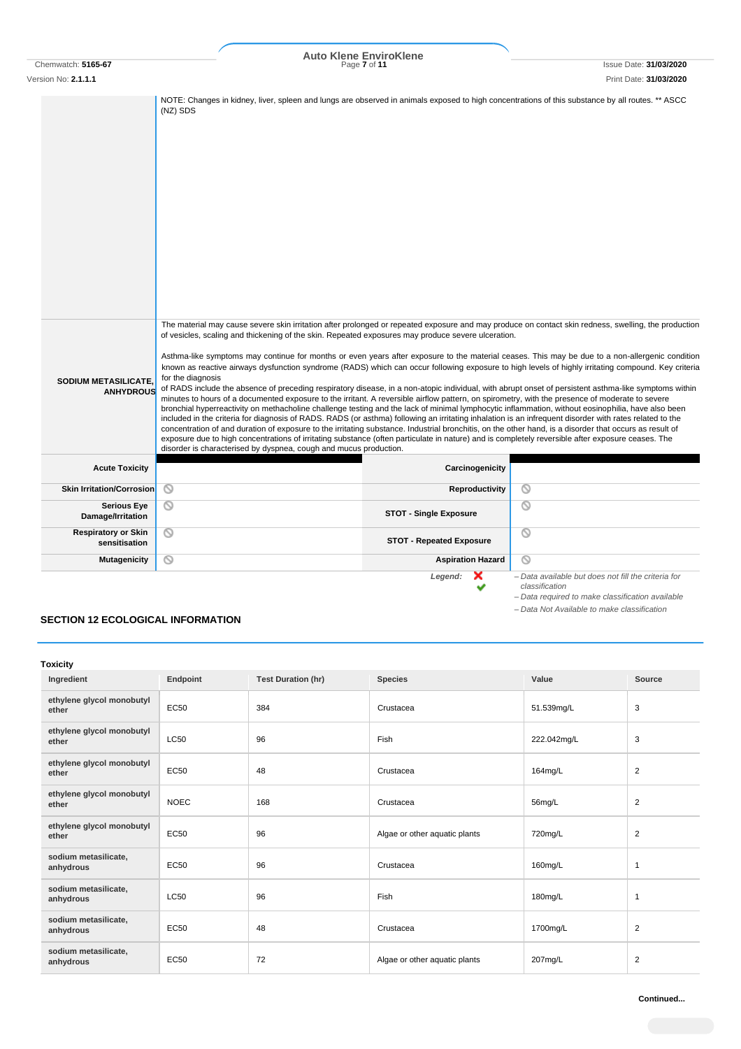# Chemwatch: **5165-67** Page **7** of **11** Issue Date: **31/03/2020 Auto Klene EnviroKlene**

Version No: **2.1.1.1** Print Date: **31/03/2020** NOTE: Changes in kidney, liver, spleen and lungs are observed in animals exposed to high concentrations of this substance by all routes. \*\* ASCC (NZ) SDS The material may cause severe skin irritation after prolonged or repeated exposure and may produce on contact skin redness, swelling, the production of vesicles, scaling and thickening of the skin. Repeated exposures may produce severe ulceration. Asthma-like symptoms may continue for months or even years after exposure to the material ceases. This may be due to a non-allergenic condition known as reactive airways dysfunction syndrome (RADS) which can occur following exposure to high levels of highly irritating compound. Key criteria for the diagnosis **SODIUM METASILICATE,** of RADS include the absence of preceding respiratory disease, in a non-atopic individual, with abrupt onset of persistent asthma-like symptoms within **ANHYDROUS** minutes to hours of a documented exposure to the irritant. A reversible airflow pattern, on spirometry, with the presence of moderate to severe bronchial hyperreactivity on methacholine challenge testing and the lack of minimal lymphocytic inflammation, without eosinophilia, have also been included in the criteria for diagnosis of RADS. RADS (or asthma) following an irritating inhalation is an infrequent disorder with rates related to the concentration of and duration of exposure to the irritating substance. Industrial bronchitis, on the other hand, is a disorder that occurs as result of exposure due to high concentrations of irritating substance (often particulate in nature) and is completely reversible after exposure ceases. The disorder is characterised by dyspnea, cough and mucus production. **Acute Toxicity Carcinogenicity Carcinogenicity Skin Irritation/Corrosion**  $\bigcirc$  **<b>Reproductivity**  $\circ$ **Damage/Irritation Stromage/Irritation STOT -** Single Exposure  $\circ$ **Serious Eye Respiratory or Skin sensitisation STOT - Repeated Exposure**  $\circledcirc$ **Mutagenicity Aspiration Hazard** Q **Legend:**  $\mathbf{X}$  – Data available but does not fill the criteria for classification *classification – Data required to make classification available*

#### *– Data Not Available to make classification*

# **SECTION 12 ECOLOGICAL INFORMATION**

| <b>Toxicity</b>                    |             |                           |                               |             |                |
|------------------------------------|-------------|---------------------------|-------------------------------|-------------|----------------|
| Ingredient                         | Endpoint    | <b>Test Duration (hr)</b> | <b>Species</b>                | Value       | Source         |
| ethylene glycol monobutyl<br>ether | <b>EC50</b> | 384                       | Crustacea                     | 51.539mg/L  | 3              |
| ethylene glycol monobutyl<br>ether | <b>LC50</b> | 96                        | Fish                          | 222.042mg/L | 3              |
| ethylene glycol monobutyl<br>ether | EC50        | 48                        | Crustacea                     | 164mg/L     | $\overline{2}$ |
| ethylene glycol monobutyl<br>ether | <b>NOEC</b> | 168                       | Crustacea                     | 56mg/L      | $\overline{2}$ |
| ethylene glycol monobutyl<br>ether | EC50        | 96                        | Algae or other aquatic plants | 720mg/L     | $\overline{2}$ |
| sodium metasilicate,<br>anhydrous  | EC50        | 96                        | Crustacea                     | 160mg/L     | $\mathbf{1}$   |
| sodium metasilicate,<br>anhydrous  | <b>LC50</b> | 96                        | Fish                          | 180mg/L     | $\overline{1}$ |
| sodium metasilicate,<br>anhydrous  | EC50        | 48                        | Crustacea                     | 1700mg/L    | $\overline{2}$ |
| sodium metasilicate,<br>anhydrous  | EC50        | 72                        | Algae or other aquatic plants | 207mg/L     | 2              |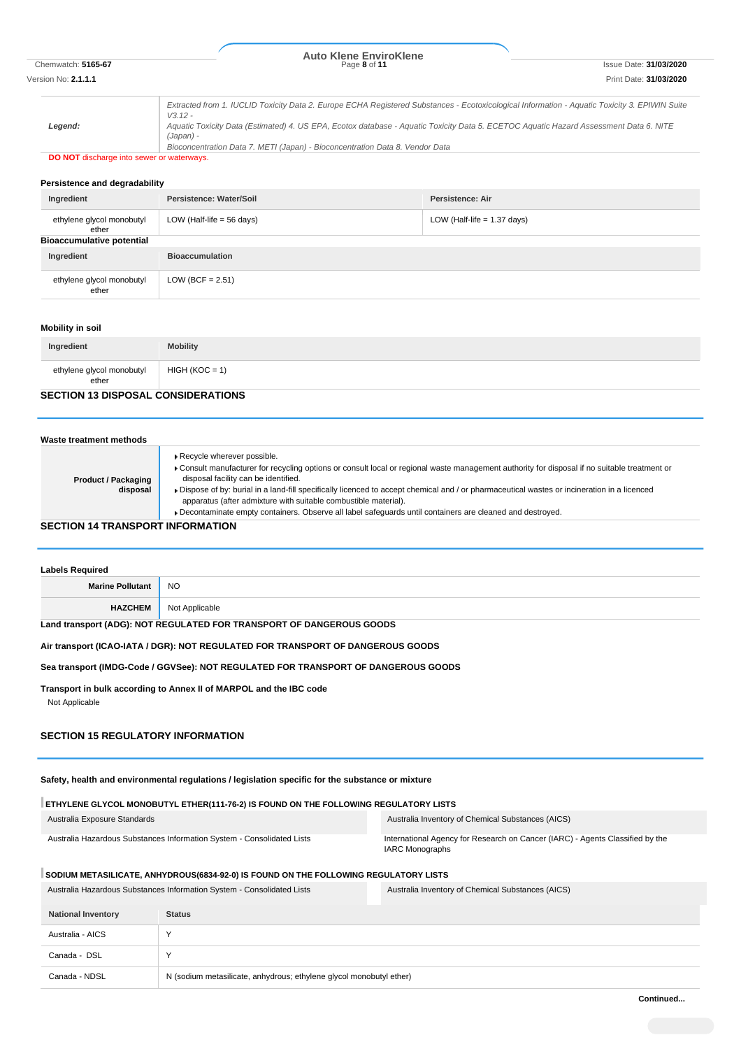# Chemwatch: **5165-67** Page **8** of **11** Issue Date: **31/03/2020 Auto Klene EnviroKlene**

Version No: **2.1.1.1** Print Date: **31/03/2020**

*Legend: Extracted from 1. IUCLID Toxicity Data 2. Europe ECHA Registered Substances - Ecotoxicological Information - Aquatic Toxicity 3. EPIWIN Suite V3.12 - Aquatic Toxicity Data (Estimated) 4. US EPA, Ecotox database - Aquatic Toxicity Data 5. ECETOC Aquatic Hazard Assessment Data 6. NITE (Japan) - Bioconcentration Data 7. METI (Japan) - Bioconcentration Data 8. Vendor Data*

# **DO NOT** discharge into sewer or waterways.

#### **Persistence and degradability**

| Ingredient                         | Persistence: Water/Soil              | Persistence: Air              |
|------------------------------------|--------------------------------------|-------------------------------|
| ethylene glycol monobutyl<br>ether | LOW (Half-life = $56 \text{ days}$ ) | LOW (Half-life $= 1.37$ days) |
| <b>Bioaccumulative potential</b>   |                                      |                               |
| Ingredient                         | <b>Bioaccumulation</b>               |                               |
| ethylene glycol monobutyl<br>ether | LOW (BCF = $2.51$ )                  |                               |

#### **Mobility in soil**

| Ingredient                         | <b>Mobility</b>  |
|------------------------------------|------------------|
| ethylene glycol monobutyl<br>ether | $HIGH (KOC = 1)$ |

### **SECTION 13 DISPOSAL CONSIDERATIONS**

| Waste treatment methods                 |                                                                                                                                                                                                                                                                                                                                                                                                                                                                                                                                                  |
|-----------------------------------------|--------------------------------------------------------------------------------------------------------------------------------------------------------------------------------------------------------------------------------------------------------------------------------------------------------------------------------------------------------------------------------------------------------------------------------------------------------------------------------------------------------------------------------------------------|
| <b>Product / Packaging</b><br>disposal  | Recycle wherever possible.<br>Consult manufacturer for recycling options or consult local or regional waste management authority for disposal if no suitable treatment or<br>disposal facility can be identified.<br>► Dispose of by: burial in a land-fill specifically licenced to accept chemical and / or pharmaceutical wastes or incineration in a licenced<br>apparatus (after admixture with suitable combustible material).<br>Decontaminate empty containers. Observe all label safequards until containers are cleaned and destroyed. |
| <b>SECTION 14 TRANSPORT INFORMATION</b> |                                                                                                                                                                                                                                                                                                                                                                                                                                                                                                                                                  |

| <b>Labels Required</b>                                               |                |  |
|----------------------------------------------------------------------|----------------|--|
| <b>Marine Pollutant</b>                                              | NO             |  |
| <b>HAZCHEM</b>                                                       | Not Applicable |  |
| Land transport (ADG): NOT REGULATED FOR TRANSPORT OF DANGEROUS GOODS |                |  |

## **Air transport (ICAO-IATA / DGR): NOT REGULATED FOR TRANSPORT OF DANGEROUS GOODS**

#### **Sea transport (IMDG-Code / GGVSee): NOT REGULATED FOR TRANSPORT OF DANGEROUS GOODS**

**Transport in bulk according to Annex II of MARPOL and the IBC code** Not Applicable

## **SECTION 15 REGULATORY INFORMATION**

**Safety, health and environmental regulations / legislation specific for the substance or mixture**

#### **ETHYLENE GLYCOL MONOBUTYL ETHER(111-76-2) IS FOUND ON THE FOLLOWING REGULATORY LISTS**

| Australia Exposure Standards                                           | Australia Inventory of Chemical Substances (AICS)                                                |
|------------------------------------------------------------------------|--------------------------------------------------------------------------------------------------|
| Australia Hazardous Substances Information System - Consolidated Lists | International Agency for Research on Cancer (IARC) - Agents Classified by the<br>IARC Monographs |

### SODIUM METASILICATE, ANHYDROUS(6834-92-0) IS FOUND ON THE FOLLOWING REGULATORY LISTS

|                           | Australia Hazardous Substances Information System - Consolidated Lists | Australia Inventory of Chemical Substances (AICS) |
|---------------------------|------------------------------------------------------------------------|---------------------------------------------------|
| <b>National Inventory</b> | <b>Status</b>                                                          |                                                   |
| Australia - AICS          |                                                                        |                                                   |
| Canada - DSL              |                                                                        |                                                   |
| Canada - NDSL             | N (sodium metasilicate, anhydrous; ethylene glycol monobutyl ether)    |                                                   |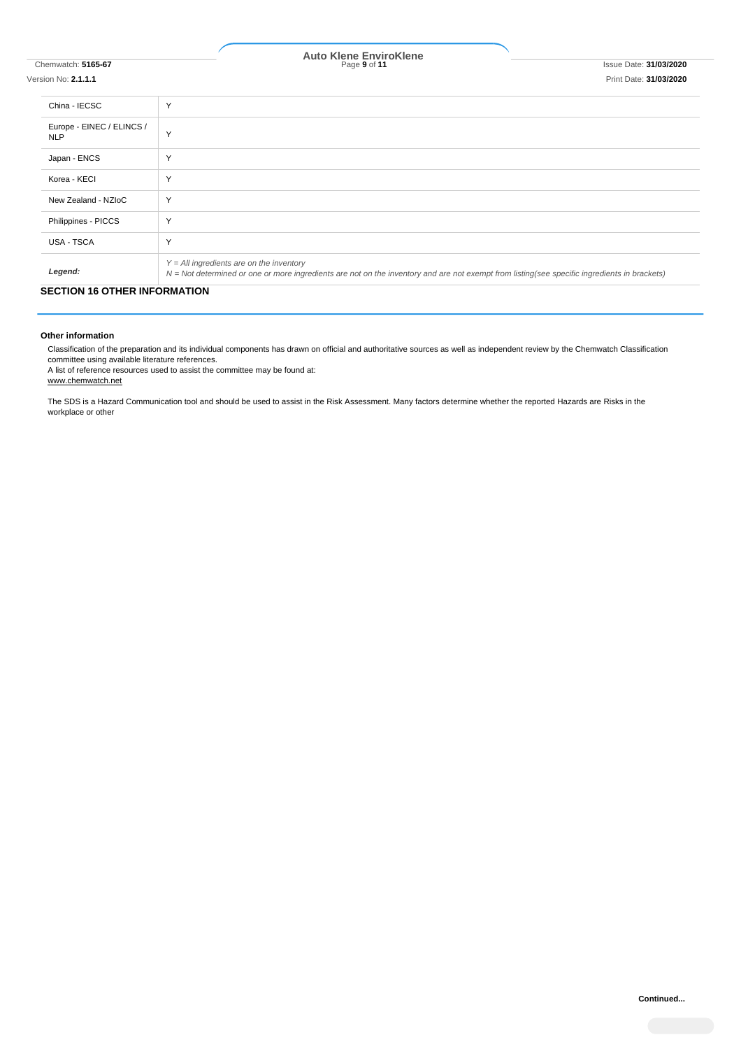# Chemwatch: **5165-67** Page **9** of **11** Issue Date: **31/03/2020 Auto Klene EnviroKlene**

#### Version No: **2.1.1.1** Print Date: **31/03/2020**

| China - IECSC                           | Y                                                                                                                                                                                          |
|-----------------------------------------|--------------------------------------------------------------------------------------------------------------------------------------------------------------------------------------------|
| Europe - EINEC / ELINCS /<br><b>NLP</b> | Y                                                                                                                                                                                          |
| Japan - ENCS                            | Y                                                                                                                                                                                          |
| Korea - KECI                            | Y                                                                                                                                                                                          |
| New Zealand - NZIoC                     | Y                                                                                                                                                                                          |
| Philippines - PICCS                     | Y                                                                                                                                                                                          |
| USA - TSCA                              | Y                                                                                                                                                                                          |
| Legend:                                 | $Y = All$ ingredients are on the inventory<br>N = Not determined or one or more ingredients are not on the inventory and are not exempt from listing(see specific ingredients in brackets) |

### **SECTION 16 OTHER INFORMATION**

#### **Other information**

Classification of the preparation and its individual components has drawn on official and authoritative sources as well as independent review by the Chemwatch Classification committee using available literature references.

A list of reference resources used to assist the committee may be found at: www.chemwatch.net

The SDS is a Hazard Communication tool and should be used to assist in the Risk Assessment. Many factors determine whether the reported Hazards are Risks in the workplace or other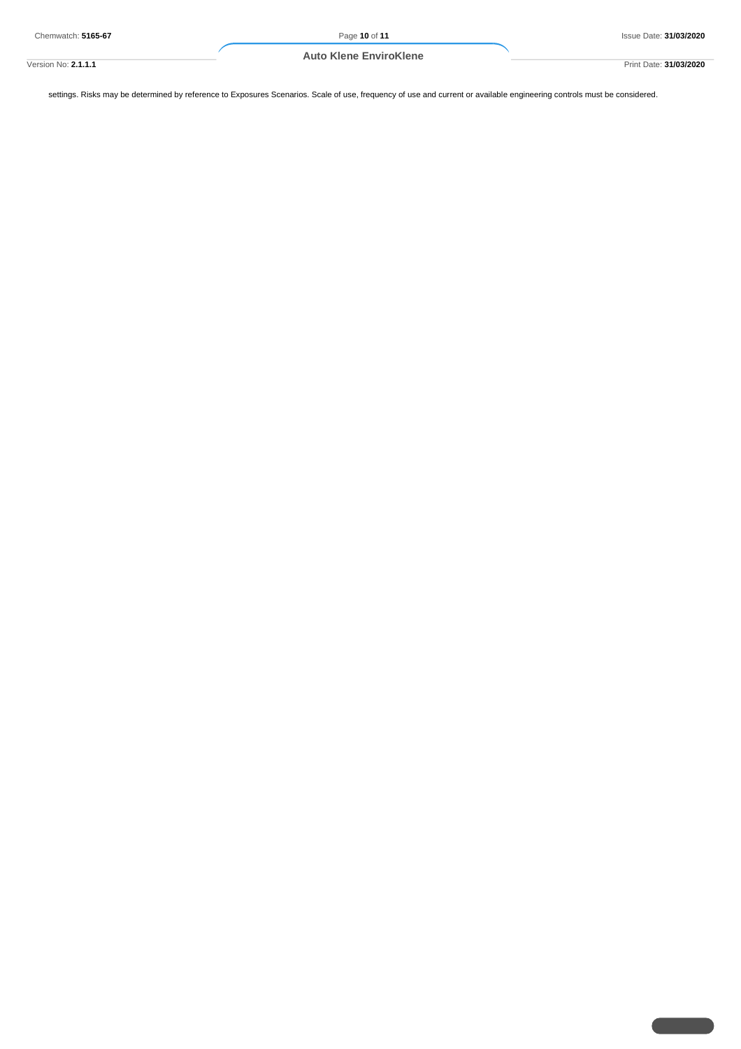Version No: **2.1.1.1** Print Date: **31/03/2020**

settings. Risks may be determined by reference to Exposures Scenarios. Scale of use, frequency of use and current or available engineering controls must be considered.